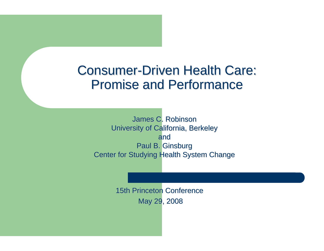#### **Consumer-Driven Health Care: Promise and Performance**

James C. Robinson University of California, Berkeley andPaul B. Ginsburg Center for Studying Health System Change

> 15th Princeton Conference May 29, 2008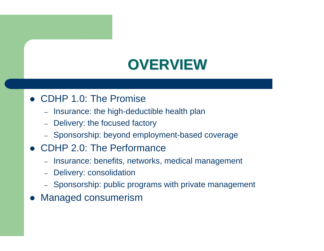# **OVERVIEW OVERVIEW**

#### • CDHP 1.0: The Promise

- –Insurance: the high-deductible health plan
- Delivery: the focused factory
- Sponsorship: beyond employment-based coverage

#### • CDHP 2.0: The Performance

- Insurance: benefits, networks, medical management
- Delivery: consolidation
- Sponsorship: public programs with private management
- $\bullet$ Managed consumerism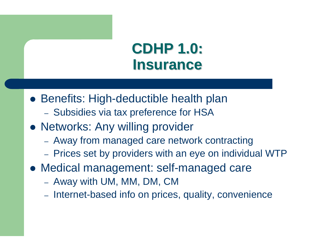# **CDHP 1.0: CDHP 1.0: Insurance Insurance**

- **Benefits: High-deductible health plan** 
	- Subsidies via tax preference for HSA
- Networks: Any willing provider
	- Away from managed care network contracting
	- –- Prices set by providers with an eye on individual WTP
- Medical management: self-managed care
	- Away with UM, MM, DM, CM
	- Internet-based info on prices, quality, convenience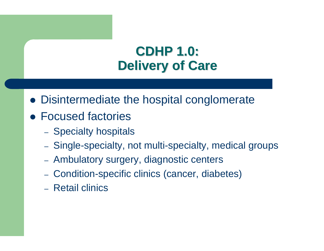# **CDHP 1.0: CDHP 1.0: Delivery of Care Delivery of Care**

- Disintermediate the hospital conglomerate
- Focused factories
	- Specialty hospitals
	- Single-specialty, not multi-specialty, medical groups
	- Ambulatory surgery, diagnostic centers
	- Condition-specific clinics (cancer, diabetes)
	- Retail clinics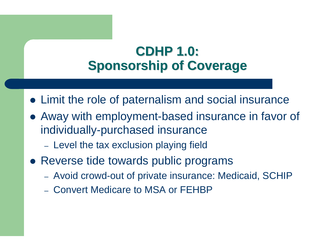# **CDHP 1.0: CDHP 1.0: Sponsorship of Coverage Sponsorship of Coverage**

- Limit the role of paternalism and social insurance
- Away with employment-based insurance in favor of individually-purchased insurance
	- Level the tax exclusion playing field
- Reverse tide towards public programs
	- Avoid crowd-out of private insurance: Medicaid, SCHIP
	- Convert Medicare to MSA or FEHBP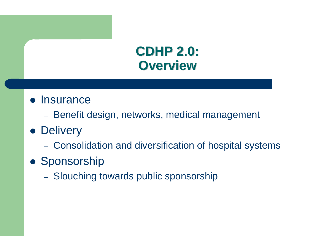# **CDHP 2.0: CDHP 2.0: Overview Overview**

- **Insurance** 
	- –– Benefit design, networks, medical management
- **Delivery** 
	- Consolidation and diversification of hospital systems
- **Sponsorship** 
	- Slouching towards public sponsorship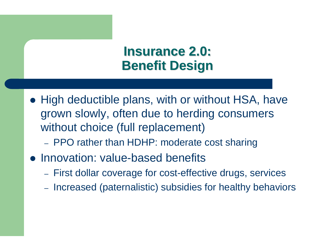## **Insurance 2.0: Insurance 2.0: Benefit Design Benefit Design**

- High deductible plans, with or without HSA, have grown slowly, often due to herding consumers without choice (full replacement)
	- PPO rather than HDHP: moderate cost sharing
- Innovation: value-based benefits
	- First dollar coverage for cost-effective drugs, services
	- Increased (paternalistic) subsidies for healthy behaviors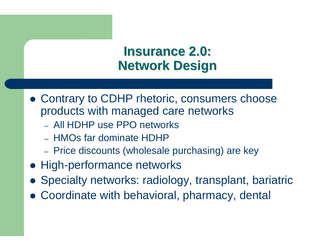## **Insurance 2.0: Insurance 2.0: Network Design Network Design**

- Contrary to CDHP rhetoric, consumers choose products with managed care networks
	- All HDHP use PPO networks
	- HMOs far dominate HDHP
	- –- Price discounts (wholesale purchasing) are key
- High-performance networks
- Specialty networks: radiology, transplant, bariatric
- Coordinate with behavioral, pharmacy, dental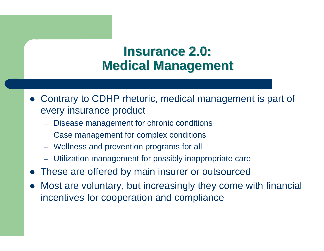### **Insurance 2.0: Insurance 2.0: Medical Management Medical Management**

- Contrary to CDHP rhetoric, medical management is part of every insurance product
	- Disease management for chronic conditions
	- –Case management for complex conditions
	- Wellness and prevention programs for all
	- Utilization management for possibly inappropriate care
- $\bullet$ These are offered by main insurer or outsourced
- Most are voluntary, but increasingly they come with financial incentives for cooperation and compliance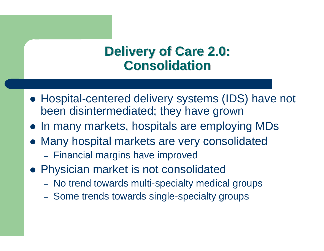#### **Delivery of Care 2.0: Delivery of Care 2.0: Consolidation Consolidation**

- Hospital-centered delivery systems (IDS) have not been disintermediated; they have grown
- In many markets, hospitals are employing MDs
- Many hospital markets are very consolidated
	- Financial margins have improved
- Physician market is not consolidated
	- –– No trend towards multi-specialty medical groups
	- –- Some trends towards single-specialty groups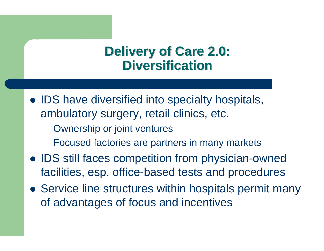#### **Delivery of Care 2.0: Delivery of Care 2.0: Diversification Diversification**

- IDS have diversified into specialty hospitals, ambulatory surgery, retail clinics, etc.
	- Ownership or joint ventures
	- Focused factories are partners in many markets
- IDS still faces competition from physician-owned facilities, esp. office-based tests and procedures
- Service line structures within hospitals permit many of advantages of focus and incentives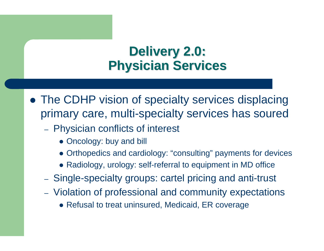# **Delivery 2.0: Delivery 2.0: Physician Services Physician Services**

• The CDHP vision of specialty services displacing primary care, multi-specialty services has soured

- Physician conflicts of interest
	- Oncology: buy and bill
	- Orthopedics and cardiology: "consulting" payments for devices
	- Radiology, urology: self-referral to equipment in MD office
- Single-specialty groups: cartel pricing and anti-trust
- Violation of professional and community expectations
	- Refusal to treat uninsured, Medicaid, ER coverage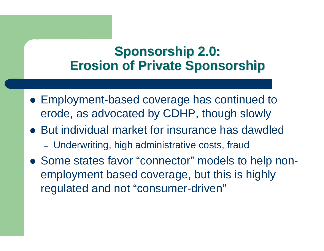### **Sponsorship 2.0: Sponsorship 2.0: Erosion of Private Sponsorship Erosion of Private Sponsorship**

- Employment-based coverage has continued to erode, as advocated by CDHP, though slowly
- But individual market for insurance has dawdled Underwriting, high administrative costs, fraud
- Some states favor "connector" models to help nonemployment based coverage, but this is highly regulated and not "consumer-driven"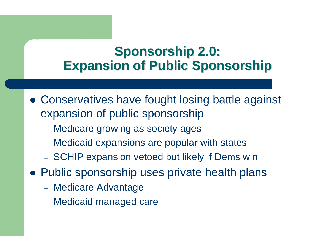## **Sponsorship 2.0: Sponsorship 2.0: Expansion of Public Sponsorship Expansion of Public Sponsorship**

- Conservatives have fought losing battle against expansion of public sponsorship
	- Medicare growing as society ages
	- Medicaid expansions are popular with states
	- SCHIP expansion vetoed but likely if Dems win
- Public sponsorship uses private health plans
	- Medicare Advantage
	- Medicaid managed care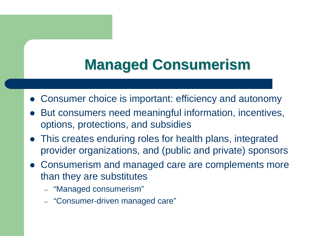# **Managed Consumerism Managed Consumerism**

- Consumer choice is important: efficiency and autonomy
- $\bullet$  But consumers need meaningful information, incentives, options, protections, and subsidies
- This creates enduring roles for health plans, integrated provider organizations, and (public and private) sponsors
- Consumerism and managed care are complements more than they are substitutes
	- "Managed consumerism"
	- "Consumer-driven managed care"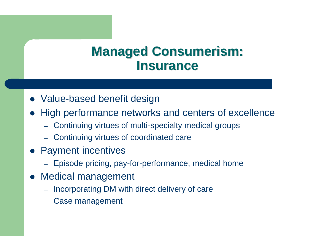#### **Managed Consumerism: Managed Consumerism: Insurance Insurance**

- Value-based benefit design
- $\bullet$  High performance networks and centers of excellence
	- Continuing virtues of multi-specialty medical groups
	- Continuing virtues of coordinated care
- $\bullet$  Payment incentives
	- Episode pricing, pay-for-performance, medical home
- $\bullet$  Medical management
	- Incorporating DM with direct delivery of care
	- –Case management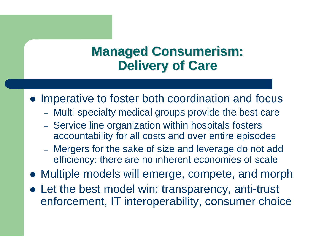#### **Managed Consumerism: Managed Consumerism: Delivery of Care Delivery of Care**

• Imperative to foster both coordination and focus

- Multi-specialty medical groups provide the best care
- Service line organization within hospitals fosters accountability for all costs and over entire episodes
- Mergers for the sake of size and leverage do not add efficiency: there are no inherent economies of scale
- Multiple models will emerge, compete, and morph
- Let the best model win: transparency, anti-trust enforcement, IT interoperability, consumer choice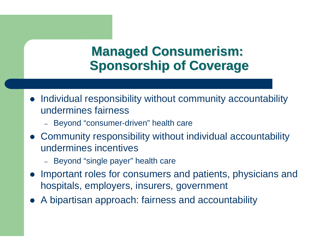### **Managed Consumerism: Managed Consumerism: Sponsorship of Coverage Sponsorship of Coverage**

- Individual responsibility without community accountability undermines fairness
	- Beyond "consumer-driven" health care
- Community responsibility without individual accountability undermines incentives
	- Beyond "single payer" health care
- Important roles for consumers and patients, physicians and hospitals, employers, insurers, government
- $\bullet$ A bipartisan approach: fairness and accountability